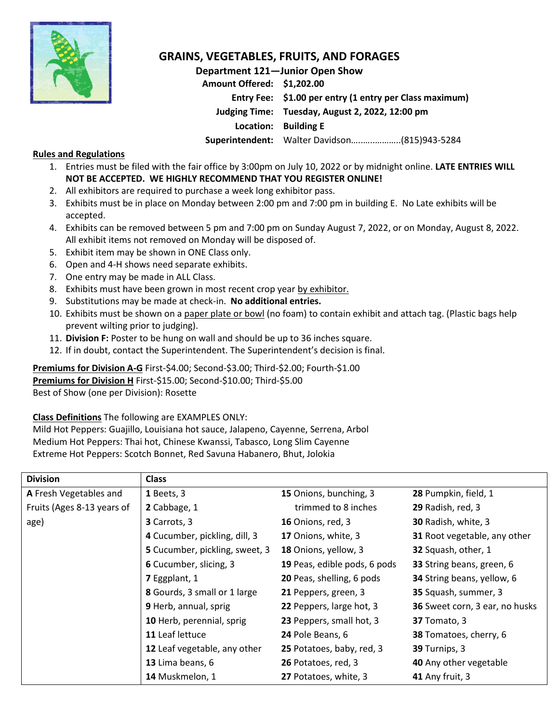

# **GRAINS, VEGETABLES, FRUITS, AND FORAGES**

**Department 121—Junior Open Show Amount Offered: \$1,202.00 Entry Fee: \$1.00 per entry (1 entry per Class maximum) Judging Time: Tuesday, August 2, 2022, 12:00 pm Location: Building E Superintendent:** Walter Davidson…..…..………..(815)943-5284

### **Rules and Regulations**

- 1. Entries must be filed with the fair office by 3:00pm on July 10, 2022 or by midnight online. **LATE ENTRIES WILL NOT BE ACCEPTED. WE HIGHLY RECOMMEND THAT YOU REGISTER ONLINE!**
- 2. All exhibitors are required to purchase a week long exhibitor pass.
- 3. Exhibits must be in place on Monday between 2:00 pm and 7:00 pm in building E. No Late exhibits will be accepted.
- 4. Exhibits can be removed between 5 pm and 7:00 pm on Sunday August 7, 2022, or on Monday, August 8, 2022. All exhibit items not removed on Monday will be disposed of.
- 5. Exhibit item may be shown in ONE Class only.
- 6. Open and 4-H shows need separate exhibits.
- 7. One entry may be made in ALL Class.
- 8. Exhibits must have been grown in most recent crop year by exhibitor.
- 9. Substitutions may be made at check-in. **No additional entries.**
- 10. Exhibits must be shown on a paper plate or bowl (no foam) to contain exhibit and attach tag. (Plastic bags help prevent wilting prior to judging).
- 11. **Division F:** Poster to be hung on wall and should be up to 36 inches square.
- 12. If in doubt, contact the Superintendent. The Superintendent's decision is final.

## **Premiums for Division A-G** First-\$4.00; Second-\$3.00; Third-\$2.00; Fourth-\$1.00

**Premiums for Division H** First-\$15.00; Second-\$10.00; Third-\$5.00

Best of Show (one per Division): Rosette

#### **Class Definitions** The following are EXAMPLES ONLY:

Mild Hot Peppers: Guajillo, Louisiana hot sauce, Jalapeno, Cayenne, Serrena, Arbol Medium Hot Peppers: Thai hot, Chinese Kwanssi, Tabasco, Long Slim Cayenne Extreme Hot Peppers: Scotch Bonnet, Red Savuna Habanero, Bhut, Jolokia

| <b>Division</b>            | <b>Class</b>                      |                                                |                                |  |
|----------------------------|-----------------------------------|------------------------------------------------|--------------------------------|--|
| A Fresh Vegetables and     | 1 Beets, 3                        | 15 Onions, bunching, 3<br>28 Pumpkin, field, 1 |                                |  |
| Fruits (Ages 8-13 years of | 2 Cabbage, 1                      | trimmed to 8 inches<br>29 Radish, red, 3       |                                |  |
| age)                       | 3 Carrots, 3<br>16 Onions, red, 3 |                                                | 30 Radish, white, 3            |  |
|                            | 4 Cucumber, pickling, dill, 3     | 17 Onions, white, 3                            | 31 Root vegetable, any other   |  |
|                            | 5 Cucumber, pickling, sweet, 3    | 18 Onions, yellow, 3                           | 32 Squash, other, 1            |  |
|                            | 6 Cucumber, slicing, 3            | 19 Peas, edible pods, 6 pods                   | 33 String beans, green, 6      |  |
|                            | 7 Eggplant, 1                     | 20 Peas, shelling, 6 pods                      | 34 String beans, yellow, 6     |  |
|                            | 8 Gourds, 3 small or 1 large      | 21 Peppers, green, 3                           | 35 Squash, summer, 3           |  |
|                            | 9 Herb, annual, sprig             | 22 Peppers, large hot, 3                       | 36 Sweet corn, 3 ear, no husks |  |
|                            | 10 Herb, perennial, sprig         | 23 Peppers, small hot, 3                       | 37 Tomato, 3                   |  |
|                            | 11 Leaf lettuce                   | 24 Pole Beans, 6                               | 38 Tomatoes, cherry, 6         |  |
|                            | 12 Leaf vegetable, any other      | 25 Potatoes, baby, red, 3                      | 39 Turnips, 3                  |  |
|                            | 13 Lima beans, 6                  | 26 Potatoes, red, 3                            | 40 Any other vegetable         |  |
|                            | 14 Muskmelon, 1                   | 27 Potatoes, white, 3                          | 41 Any fruit, 3                |  |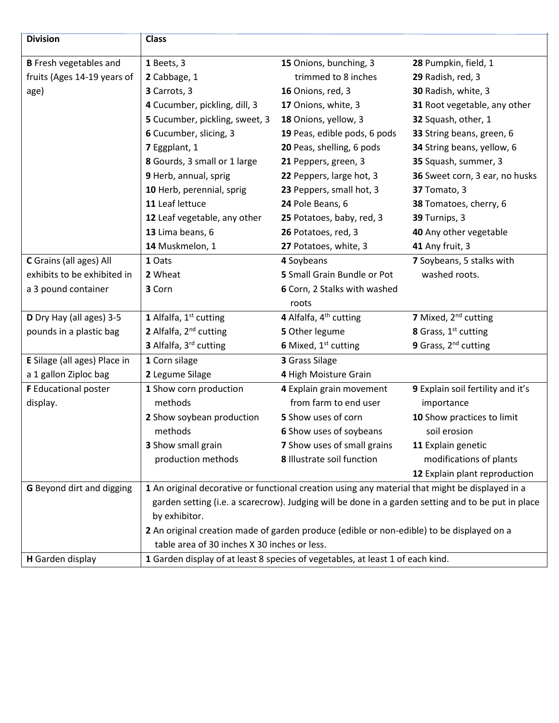| <b>Division</b>               | <b>Class</b>                                                                                                                                                                                                                                                     |                                    |                                   |  |
|-------------------------------|------------------------------------------------------------------------------------------------------------------------------------------------------------------------------------------------------------------------------------------------------------------|------------------------------------|-----------------------------------|--|
| <b>B</b> Fresh vegetables and | 1 Beets, 3                                                                                                                                                                                                                                                       | 15 Onions, bunching, 3             | 28 Pumpkin, field, 1              |  |
| fruits (Ages 14-19 years of   | 2 Cabbage, 1                                                                                                                                                                                                                                                     | trimmed to 8 inches                | 29 Radish, red, 3                 |  |
| age)                          | 3 Carrots, 3                                                                                                                                                                                                                                                     | 16 Onions, red, 3                  | 30 Radish, white, 3               |  |
|                               | 4 Cucumber, pickling, dill, 3                                                                                                                                                                                                                                    | 17 Onions, white, 3                | 31 Root vegetable, any other      |  |
|                               | 5 Cucumber, pickling, sweet, 3                                                                                                                                                                                                                                   | 18 Onions, yellow, 3               | 32 Squash, other, 1               |  |
|                               | 6 Cucumber, slicing, 3                                                                                                                                                                                                                                           | 19 Peas, edible pods, 6 pods       | 33 String beans, green, 6         |  |
|                               | 7 Eggplant, 1                                                                                                                                                                                                                                                    | 20 Peas, shelling, 6 pods          | 34 String beans, yellow, 6        |  |
|                               | 8 Gourds, 3 small or 1 large                                                                                                                                                                                                                                     | 21 Peppers, green, 3               | 35 Squash, summer, 3              |  |
|                               | 9 Herb, annual, sprig                                                                                                                                                                                                                                            | 22 Peppers, large hot, 3           | 36 Sweet corn, 3 ear, no husks    |  |
|                               | 10 Herb, perennial, sprig                                                                                                                                                                                                                                        | 23 Peppers, small hot, 3           | 37 Tomato, 3                      |  |
|                               | 11 Leaf lettuce                                                                                                                                                                                                                                                  | 24 Pole Beans, 6                   | 38 Tomatoes, cherry, 6            |  |
|                               | 12 Leaf vegetable, any other                                                                                                                                                                                                                                     | 25 Potatoes, baby, red, 3          | 39 Turnips, 3                     |  |
|                               | 13 Lima beans, 6                                                                                                                                                                                                                                                 | 26 Potatoes, red, 3                | 40 Any other vegetable            |  |
|                               | 14 Muskmelon, 1                                                                                                                                                                                                                                                  | 27 Potatoes, white, 3              | 41 Any fruit, 3                   |  |
| C Grains (all ages) All       | 1 Oats                                                                                                                                                                                                                                                           | 4 Soybeans                         | 7 Soybeans, 5 stalks with         |  |
| exhibits to be exhibited in   | 2 Wheat                                                                                                                                                                                                                                                          | 5 Small Grain Bundle or Pot        | washed roots.                     |  |
| a 3 pound container           | 3 Corn                                                                                                                                                                                                                                                           | 6 Corn, 2 Stalks with washed       |                                   |  |
|                               |                                                                                                                                                                                                                                                                  | roots                              |                                   |  |
| D Dry Hay (all ages) 3-5      | 1 Alfalfa, 1st cutting                                                                                                                                                                                                                                           | 4 Alfalfa, 4 <sup>th</sup> cutting | 7 Mixed, 2 <sup>nd</sup> cutting  |  |
| pounds in a plastic bag       | 2 Alfalfa, 2 <sup>nd</sup> cutting                                                                                                                                                                                                                               | 5 Other legume                     | 8 Grass, 1st cutting              |  |
|                               | 3 Alfalfa, 3rd cutting                                                                                                                                                                                                                                           | 6 Mixed, 1 <sup>st</sup> cutting   | 9 Grass, 2 <sup>nd</sup> cutting  |  |
| E Silage (all ages) Place in  | 1 Corn silage                                                                                                                                                                                                                                                    | 3 Grass Silage                     |                                   |  |
| a 1 gallon Ziploc bag         | 2 Legume Silage                                                                                                                                                                                                                                                  | 4 High Moisture Grain              |                                   |  |
| <b>F</b> Educational poster   | 1 Show corn production                                                                                                                                                                                                                                           | 4 Explain grain movement           | 9 Explain soil fertility and it's |  |
| display.                      | methods                                                                                                                                                                                                                                                          | from farm to end user              | importance                        |  |
|                               | 2 Show soybean production                                                                                                                                                                                                                                        | 5 Show uses of corn                | 10 Show practices to limit        |  |
|                               | methods                                                                                                                                                                                                                                                          | 6 Show uses of soybeans            | soil erosion                      |  |
|                               | 3 Show small grain                                                                                                                                                                                                                                               | 7 Show uses of small grains        | 11 Explain genetic                |  |
|                               | production methods                                                                                                                                                                                                                                               | 8 Illustrate soil function         | modifications of plants           |  |
|                               |                                                                                                                                                                                                                                                                  |                                    | 12 Explain plant reproduction     |  |
| G Beyond dirt and digging     | 1 An original decorative or functional creation using any material that might be displayed in a                                                                                                                                                                  |                                    |                                   |  |
|                               | garden setting (i.e. a scarecrow). Judging will be done in a garden setting and to be put in place<br>by exhibitor.<br>2 An original creation made of garden produce (edible or non-edible) to be displayed on a<br>table area of 30 inches X 30 inches or less. |                                    |                                   |  |
|                               |                                                                                                                                                                                                                                                                  |                                    |                                   |  |
|                               |                                                                                                                                                                                                                                                                  |                                    |                                   |  |
|                               |                                                                                                                                                                                                                                                                  |                                    |                                   |  |
| H Garden display              | 1 Garden display of at least 8 species of vegetables, at least 1 of each kind.                                                                                                                                                                                   |                                    |                                   |  |